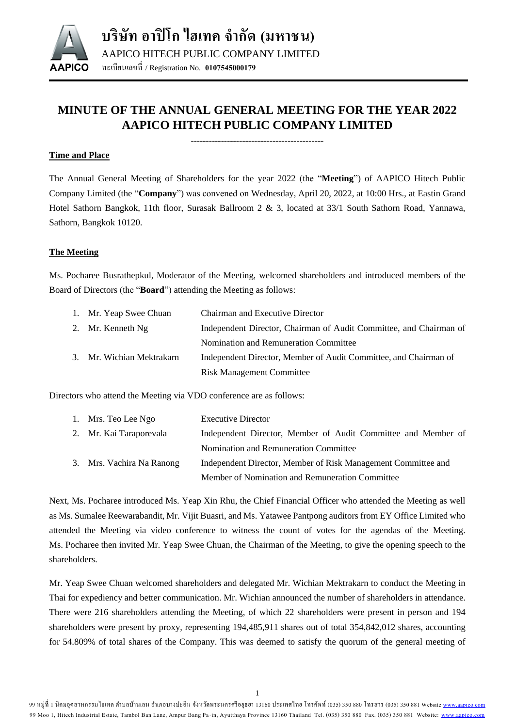

# **MINUTE OF THE ANNUAL GENERAL MEETING FOR THE YEAR 2022 AAPICO HITECH PUBLIC COMPANY LIMITED**

--------------------------------------------

## **Time and Place**

The Annual General Meeting of Shareholders for the year 2022 (the "**Meeting**") of AAPICO Hitech Public Company Limited (the "**Company**") was convened on Wednesday, April 20, 2022, at 10:00 Hrs., at Eastin Grand Hotel Sathorn Bangkok, 11th floor, Surasak Ballroom 2 & 3, located at 33/1 South Sathorn Road, Yannawa, Sathorn, Bangkok 10120.

## **The Meeting**

Ms. Pocharee Busrathepkul, Moderator of the Meeting, welcomed shareholders and introduced members of the Board of Directors (the "**Board**") attending the Meeting as follows:

| 1. Mr. Yeap Swee Chuan    | Chairman and Executive Director                                    |
|---------------------------|--------------------------------------------------------------------|
| 2. Mr. Kenneth Ng         | Independent Director, Chairman of Audit Committee, and Chairman of |
|                           | Nomination and Remuneration Committee                              |
| 3. Mr. Wichian Mektrakarn | Independent Director, Member of Audit Committee, and Chairman of   |
|                           | <b>Risk Management Committee</b>                                   |

Directors who attend the Meeting via VDO conference are as follows:

| 1. Mrs. Teo Lee Ngo       | <b>Executive Director</b>                                     |
|---------------------------|---------------------------------------------------------------|
| 2. Mr. Kai Taraporevala   | Independent Director, Member of Audit Committee and Member of |
|                           | Nomination and Remuneration Committee                         |
| 3. Mrs. Vachira Na Ranong | Independent Director, Member of Risk Management Committee and |
|                           | Member of Nomination and Remuneration Committee               |

Next, Ms. Pocharee introduced Ms. Yeap Xin Rhu, the Chief Financial Officer who attended the Meeting as well as Ms. Sumalee Reewarabandit, Mr. Vijit Buasri, and Ms. Yatawee Pantpong auditors from EY Office Limited who attended the Meeting via video conference to witness the count of votes for the agendas of the Meeting. Ms. Pocharee then invited Mr. Yeap Swee Chuan, the Chairman of the Meeting, to give the opening speech to the shareholders.

Mr. Yeap Swee Chuan welcomed shareholders and delegated Mr. Wichian Mektrakarn to conduct the Meeting in Thai for expediency and better communication. Mr. Wichian announced the number of shareholders in attendance. There were 216 shareholders attending the Meeting, of which 22 shareholders were present in person and 194 shareholders were present by proxy, representing 194,485,911 shares out of total 354,842,012 shares, accounting for 54.809% of total shares of the Company. This was deemed to satisfy the quorum of the general meeting of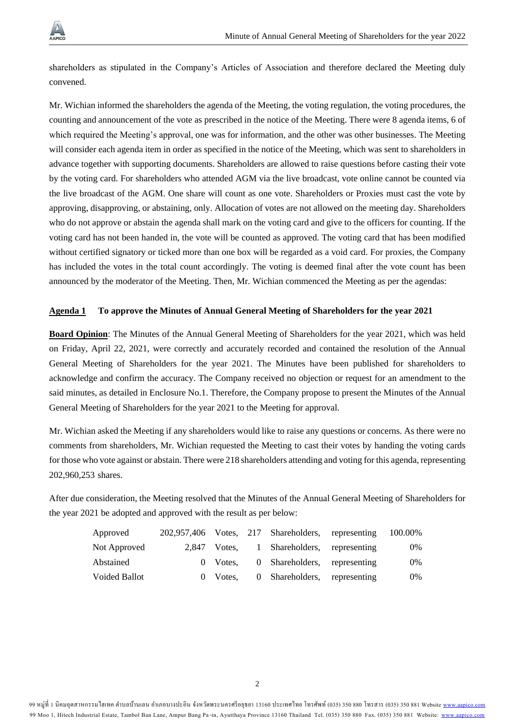

shareholders as stipulated in the Company's Articles of Association and therefore declared the Meeting duly convened.

Mr. Wichian informed the shareholders the agenda of the Meeting, the voting regulation, the voting procedures, the counting and announcement of the vote as prescribed in the notice of the Meeting. There were 8 agenda items, 6 of which required the Meeting's approval, one was for information, and the other was other businesses. The Meeting will consider each agenda item in order as specified in the notice of the Meeting, which was sent to shareholders in advance together with supporting documents. Shareholders are allowed to raise questions before casting their vote by the voting card. For shareholders who attended AGM via the live broadcast, vote online cannot be counted via the live broadcast of the AGM. One share will count as one vote. Shareholders or Proxies must cast the vote by approving, disapproving, or abstaining, only. Allocation of votes are not allowed on the meeting day. Shareholders who do not approve or abstain the agenda shall mark on the voting card and give to the officers for counting. If the voting card has not been handed in, the vote will be counted as approved. The voting card that has been modified without certified signatory or ticked more than one box will be regarded as a void card. For proxies, the Company has included the votes in the total count accordingly. The voting is deemed final after the vote count has been announced by the moderator of the Meeting. Then, Mr. Wichian commenced the Meeting as per the agendas:

#### **Agenda 1 To approve the Minutes of Annual General Meeting of Shareholders for the year 2021**

**Board Opinion**: The Minutes of the Annual General Meeting of Shareholders for the year 2021, which was held on Friday, April 22, 2021, were correctly and accurately recorded and contained the resolution of the Annual General Meeting of Shareholders for the year 2021. The Minutes have been published for shareholders to acknowledge and confirm the accuracy. The Company received no objection or request for an amendment to the said minutes, as detailed in Enclosure No.1. Therefore, the Company propose to present the Minutes of the Annual General Meeting of Shareholders for the year 2021 to the Meeting for approval.

Mr. Wichian asked the Meeting if any shareholders would like to raise any questions or concerns. As there were no comments from shareholders, Mr. Wichian requested the Meeting to cast their votes by handing the voting cards for those who vote against or abstain. There were 218 shareholders attending and voting for this agenda, representing 202,960,253 shares.

After due consideration, the Meeting resolved that the Minutes of the Annual General Meeting of Shareholders for the year 2021 be adopted and approved with the result as per below:

| Approved      |          | 202,957,406 Votes, 217 Shareholders, representing | 100.00% |
|---------------|----------|---------------------------------------------------|---------|
| Not Approved  |          | 2,847 Votes, 1 Shareholders, representing         | 0%      |
| Abstained     | 0 Votes. | 0 Shareholders, representing                      | $0\%$   |
| Voided Ballot | 0 Votes. | 0 Shareholders, representing                      | 0%      |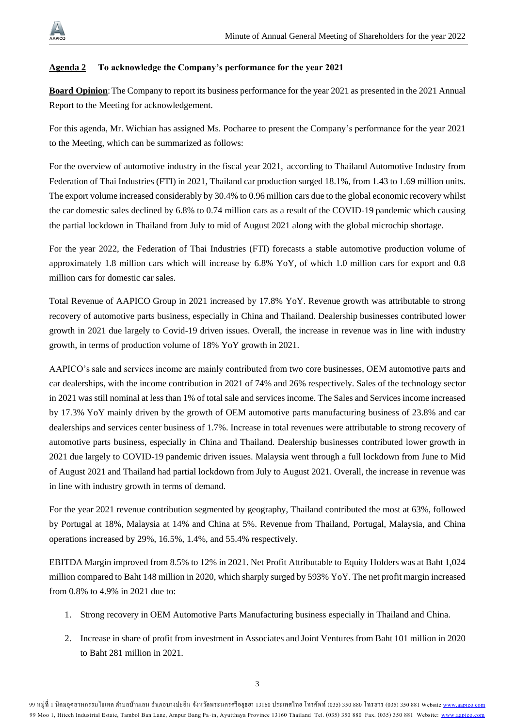

#### **Agenda 2 To acknowledge the Company's performance for the year 2021**

**Board Opinion**: The Company to report its business performance for the year 2021 as presented in the 2021 Annual Report to the Meeting for acknowledgement.

For this agenda, Mr. Wichian has assigned Ms. Pocharee to present the Company's performance for the year 2021 to the Meeting, which can be summarized as follows:

For the overview of automotive industry in the fiscal year 2021, according to Thailand Automotive Industry from Federation of Thai Industries (FTI) in 2021, Thailand car production surged 18.1%, from 1.43 to 1.69 million units. The export volume increased considerably by 30.4% to 0.96 million cars due to the global economic recovery whilst the car domestic sales declined by 6.8% to 0.74 million cars as a result of the COVID-19 pandemic which causing the partial lockdown in Thailand from July to mid of August 2021 along with the global microchip shortage.

For the year 2022, the Federation of Thai Industries (FTI) forecasts a stable automotive production volume of approximately 1.8 million cars which will increase by 6.8% YoY, of which 1.0 million cars for export and 0.8 million cars for domestic car sales.

Total Revenue of AAPICO Group in 2021 increased by 17.8% YoY. Revenue growth was attributable to strong recovery of automotive parts business, especially in China and Thailand. Dealership businesses contributed lower growth in 2021 due largely to Covid-19 driven issues. Overall, the increase in revenue was in line with industry growth, in terms of production volume of 18% YoY growth in 2021.

AAPICO's sale and services income are mainly contributed from two core businesses, OEM automotive parts and car dealerships, with the income contribution in 2021 of 74% and 26% respectively. Sales of the technology sector in 2021 was still nominal at less than 1% of total sale and services income. The Sales and Services income increased by 17.3% YoY mainly driven by the growth of OEM automotive parts manufacturing business of 23.8% and car dealerships and services center business of 1.7%. Increase in total revenues were attributable to strong recovery of automotive parts business, especially in China and Thailand. Dealership businesses contributed lower growth in 2021 due largely to COVID-19 pandemic driven issues. Malaysia went through a full lockdown from June to Mid of August 2021 and Thailand had partial lockdown from July to August 2021. Overall, the increase in revenue was in line with industry growth in terms of demand.

For the year 2021 revenue contribution segmented by geography, Thailand contributed the most at 63%, followed by Portugal at 18%, Malaysia at 14% and China at 5%. Revenue from Thailand, Portugal, Malaysia, and China operations increased by 29%, 16.5%, 1.4%, and 55.4% respectively.

EBITDA Margin improved from 8.5% to 12% in 2021. Net Profit Attributable to Equity Holders was at Baht 1,024 million compared to Baht 148 million in 2020, which sharply surged by 593% YoY. The net profit margin increased from 0.8% to 4.9% in 2021 due to:

- 1. Strong recovery in OEM Automotive Parts Manufacturing business especially in Thailand and China.
- 2. Increase in share of profit from investment in Associates and Joint Ventures from Baht 101 million in 2020 to Baht 281 million in 2021.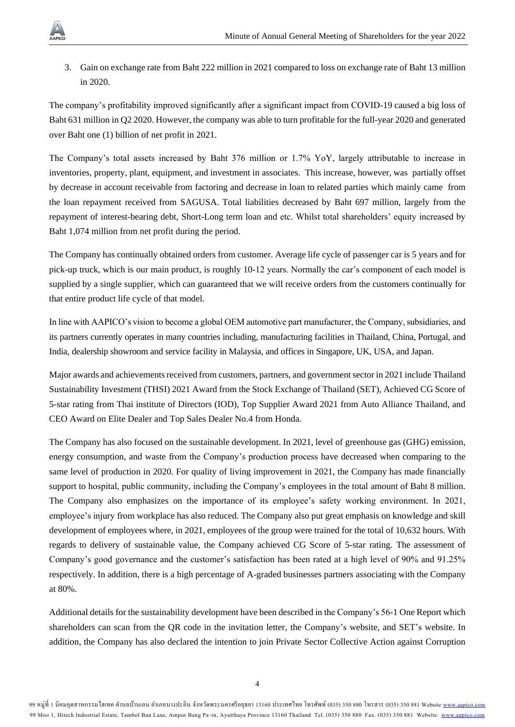3. Gain on exchange rate from Baht 222 million in 2021 compared to loss on exchange rate of Baht 13 million in 2020.

The company's profitability improved significantly after a significant impact from COVID-19 caused a big loss of Baht 631 million in Q2 2020. However, the company was able to turn profitable for the full-year 2020 and generated over Baht one (1) billion of net profit in 2021.

The Company's total assets increased by Baht 376 million or 1.7% YoY, largely attributable to increase in inventories, property, plant, equipment, and investment in associates. This increase, however, was partially offset by decrease in account receivable from factoring and decrease in loan to related parties which mainly came from the loan repayment received from SAGUSA. Total liabilities decreased by Baht 697 million, largely from the repayment of interest-bearing debt, Short-Long term loan and etc. Whilst total shareholders' equity increased by Baht 1,074 million from net profit during the period.

The Company has continually obtained orders from customer. Average life cycle of passenger car is 5 years and for pick-up truck, which is our main product, is roughly 10-12 years. Normally the car's component of each model is supplied by a single supplier, which can guaranteed that we will receive orders from the customers continually for that entire product life cycle of that model.

In line with AAPICO's vision to become a global OEM automotive part manufacturer, the Company, subsidiaries, and its partners currently operates in many countries including, manufacturing facilities in Thailand, China, Portugal, and India, dealership showroom and service facility in Malaysia, and offices in Singapore, UK, USA, and Japan.

Major awards and achievements received from customers, partners, and government sector in 2021 include Thailand Sustainability Investment (THSI) 2021 Award from the Stock Exchange of Thailand (SET), Achieved CG Score of 5-star rating from Thai institute of Directors (IOD), Top Supplier Award 2021 from Auto Alliance Thailand, and CEO Award on Elite Dealer and Top Sales Dealer No.4 from Honda.

The Company has also focused on the sustainable development. In 2021, level of greenhouse gas (GHG) emission, energy consumption, and waste from the Company's production process have decreased when comparing to the same level of production in 2020. For quality of living improvement in 2021, the Company has made financially support to hospital, public community, including the Company's employees in the total amount of Baht 8 million. The Company also emphasizes on the importance of its employee's safety working environment. In 2021, employee's injury from workplace has also reduced. The Company also put great emphasis on knowledge and skill development of employees where, in 2021, employees of the group were trained for the total of 10,632 hours. With regards to delivery of sustainable value, the Company achieved CG Score of 5-star rating. The assessment of Company's good governance and the customer's satisfaction has been rated at a high level of 90% and 91.25% respectively. In addition, there is a high percentage of A-graded businesses partners associating with the Company at 80%.

Additional details for the sustainability development have been described in the Company's 56-1 One Report which shareholders can scan from the QR code in the invitation letter, the Company's website, and SET's website. In addition, the Company has also declared the intention to join Private Sector Collective Action against Corruption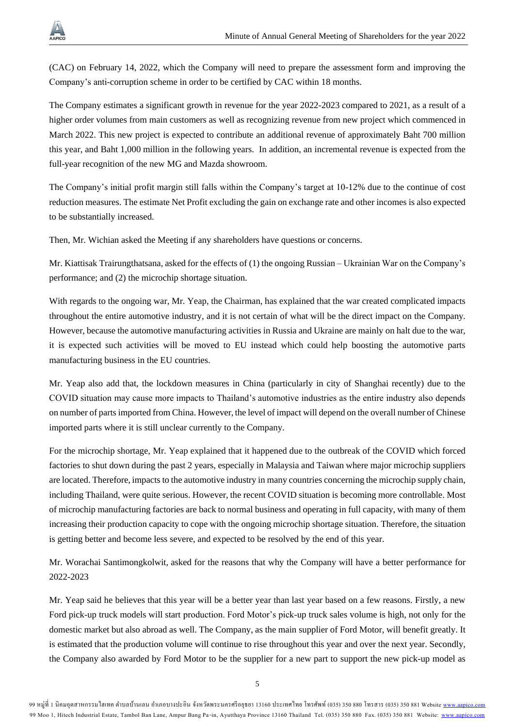

(CAC) on February 14, 2022, which the Company will need to prepare the assessment form and improving the Company's anti-corruption scheme in order to be certified by CAC within 18 months.

The Company estimates a significant growth in revenue for the year 2022-2023 compared to 2021, as a result of a higher order volumes from main customers as well as recognizing revenue from new project which commenced in March 2022. This new project is expected to contribute an additional revenue of approximately Baht 700 million this year, and Baht 1,000 million in the following years. In addition, an incremental revenue is expected from the full-year recognition of the new MG and Mazda showroom.

The Company's initial profit margin still falls within the Company's target at 10-12% due to the continue of cost reduction measures. The estimate Net Profit excluding the gain on exchange rate and other incomes is also expected to be substantially increased.

Then, Mr. Wichian asked the Meeting if any shareholders have questions or concerns.

Mr. Kiattisak Trairungthatsana, asked for the effects of (1) the ongoing Russian – Ukrainian War on the Company's performance; and (2) the microchip shortage situation.

With regards to the ongoing war, Mr. Yeap, the Chairman, has explained that the war created complicated impacts throughout the entire automotive industry, and it is not certain of what will be the direct impact on the Company. However, because the automotive manufacturing activities in Russia and Ukraine are mainly on halt due to the war, it is expected such activities will be moved to EU instead which could help boosting the automotive parts manufacturing business in the EU countries.

Mr. Yeap also add that, the lockdown measures in China (particularly in city of Shanghai recently) due to the COVID situation may cause more impacts to Thailand's automotive industries as the entire industry also depends on number of parts imported from China. However, the level of impact will depend on the overall number of Chinese imported parts where it is still unclear currently to the Company.

For the microchip shortage, Mr. Yeap explained that it happened due to the outbreak of the COVID which forced factories to shut down during the past 2 years, especially in Malaysia and Taiwan where major microchip suppliers are located. Therefore, impacts to the automotive industry in many countries concerning the microchip supply chain, including Thailand, were quite serious. However, the recent COVID situation is becoming more controllable. Most of microchip manufacturing factories are back to normal business and operating in full capacity, with many of them increasing their production capacity to cope with the ongoing microchip shortage situation. Therefore, the situation is getting better and become less severe, and expected to be resolved by the end of this year.

Mr. Worachai Santimongkolwit, asked for the reasons that why the Company will have a better performance for 2022-2023

Mr. Yeap said he believes that this year will be a better year than last year based on a few reasons. Firstly, a new Ford pick-up truck models will start production. Ford Motor's pick-up truck sales volume is high, not only for the domestic market but also abroad as well. The Company, as the main supplier of Ford Motor, will benefit greatly. It is estimated that the production volume will continue to rise throughout this year and over the next year. Secondly, the Company also awarded by Ford Motor to be the supplier for a new part to support the new pick-up model as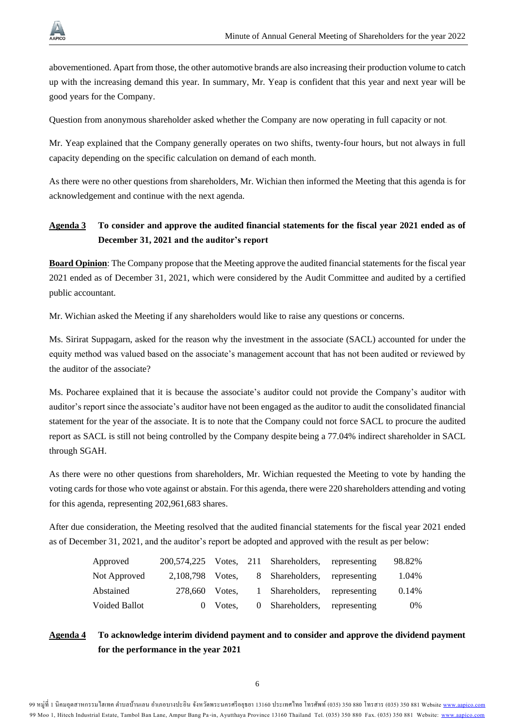

abovementioned. Apart from those, the other automotive brands are also increasing their production volume to catch up with the increasing demand this year. In summary, Mr. Yeap is confident that this year and next year will be good years for the Company.

Question from anonymous shareholder asked whether the Company are now operating in full capacity or not.

Mr. Yeap explained that the Company generally operates on two shifts, twenty-four hours, but not always in full capacity depending on the specific calculation on demand of each month.

As there were no other questions from shareholders, Mr. Wichian then informed the Meeting that this agenda is for acknowledgement and continue with the next agenda.

## **Agenda 3 To consider and approve the audited financial statements for the fiscal year 2021 ended as of December 31, 2021 and the auditor's report**

**Board Opinion**: The Company propose that the Meeting approve the audited financial statements for the fiscal year 2021 ended as of December 31, 2021, which were considered by the Audit Committee and audited by a certified public accountant.

Mr. Wichian asked the Meeting if any shareholders would like to raise any questions or concerns.

Ms. Sirirat Suppagarn, asked for the reason why the investment in the associate (SACL) accounted for under the equity method was valued based on the associate's management account that has not been audited or reviewed by the auditor of the associate?

Ms. Pocharee explained that it is because the associate's auditor could not provide the Company's auditor with auditor's report since the associate's auditor have not been engaged as the auditor to audit the consolidated financial statement for the year of the associate. It is to note that the Company could not force SACL to procure the audited report as SACL is still not being controlled by the Company despite being a 77.04% indirect shareholder in SACL through SGAH.

As there were no other questions from shareholders, Mr. Wichian requested the Meeting to vote by handing the voting cardsfor those who vote against or abstain. For this agenda, there were 220 shareholders attending and voting for this agenda, representing 202,961,683 shares.

After due consideration, the Meeting resolved that the audited financial statements for the fiscal year 2021 ended as of December 31, 2021, and the auditor's report be adopted and approved with the result as per below:

| Approved      |                  |          | 200,574,225 Votes, 211 Shareholders, representing | 98.82% |
|---------------|------------------|----------|---------------------------------------------------|--------|
| Not Approved  | 2,108,798 Votes, |          | 8 Shareholders, representing                      | 1.04%  |
| Abstained     | 278,660 Votes.   |          | 1 Shareholders, representing                      | 0.14%  |
| Voided Ballot |                  | 0 Votes. | 0 Shareholders, representing                      | $0\%$  |

## **Agenda 4 To acknowledge interim dividend payment and to consider and approve the dividend payment for the performance in the year 2021**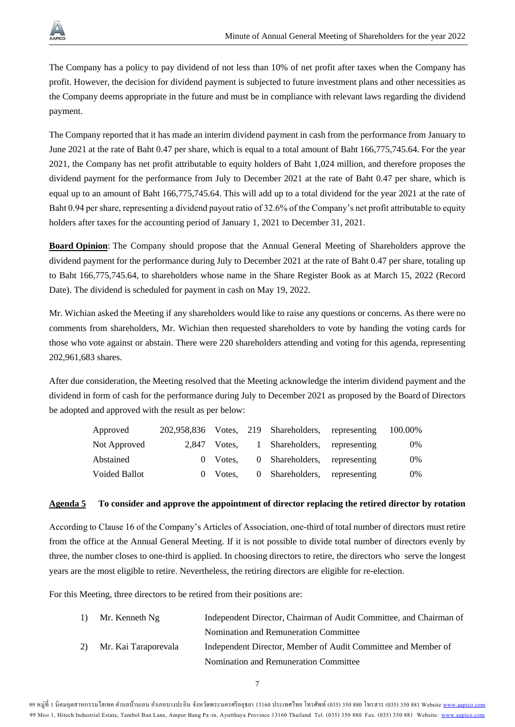

The Company has a policy to pay dividend of not less than 10% of net profit after taxes when the Company has profit. However, the decision for dividend payment is subjected to future investment plans and other necessities as the Company deems appropriate in the future and must be in compliance with relevant laws regarding the dividend payment.

The Company reported that it has made an interim dividend payment in cash from the performance from January to June 2021 at the rate of Baht 0.47 per share, which is equal to a total amount of Baht 166,775,745.64. For the year 2021, the Company has net profit attributable to equity holders of Baht 1,024 million, and therefore proposes the dividend payment for the performance from July to December 2021 at the rate of Baht 0.47 per share, which is equal up to an amount of Baht 166,775,745.64. This will add up to a total dividend for the year 2021 at the rate of Baht 0.94 per share, representing a dividend payout ratio of 32.6% of the Company's net profit attributable to equity holders after taxes for the accounting period of January 1, 2021 to December 31, 2021.

**Board Opinion**: The Company should propose that the Annual General Meeting of Shareholders approve the dividend payment for the performance during July to December 2021 at the rate of Baht 0.47 per share, totaling up to Baht 166,775,745.64, to shareholders whose name in the Share Register Book as at March 15, 2022 (Record Date). The dividend is scheduled for payment in cash on May 19, 2022.

Mr. Wichian asked the Meeting if any shareholders would like to raise any questions or concerns. As there were no comments from shareholders, Mr. Wichian then requested shareholders to vote by handing the voting cards for those who vote against or abstain. There were 220 shareholders attending and voting for this agenda, representing 202,961,683 shares.

After due consideration, the Meeting resolved that the Meeting acknowledge the interim dividend payment and the dividend in form of cash for the performance during July to December 2021 as proposed by the Board of Directors be adopted and approved with the result as per below:

| Approved             |              | 202,958,836 Votes, 219 Shareholders, representing | 100.00% |
|----------------------|--------------|---------------------------------------------------|---------|
| Not Approved         | 2.847 Votes. | 1 Shareholders, representing                      | $0\%$   |
| Abstained            | 0 Votes.     | 0 Shareholders, representing                      | $0\%$   |
| <b>Voided Ballot</b> | 0 Votes.     | 0 Shareholders, representing                      | $0\%$   |

## **Agenda 5 To consider and approve the appointment of director replacing the retired director by rotation**

According to Clause 16 of the Company's Articles of Association, one-third of total number of directors must retire from the office at the Annual General Meeting. If it is not possible to divide total number of directors evenly by three, the number closes to one-third is applied. In choosing directors to retire, the directors who serve the longest years are the most eligible to retire. Nevertheless, the retiring directors are eligible for re-election.

For this Meeting, three directors to be retired from their positions are:

|              | 1) Mr. Kenneth $Ng$  | Independent Director, Chairman of Audit Committee, and Chairman of |
|--------------|----------------------|--------------------------------------------------------------------|
|              |                      | Nomination and Remuneration Committee                              |
| <sup>2</sup> | Mr. Kai Taraporevala | Independent Director, Member of Audit Committee and Member of      |
|              |                      | Nomination and Remuneration Committee                              |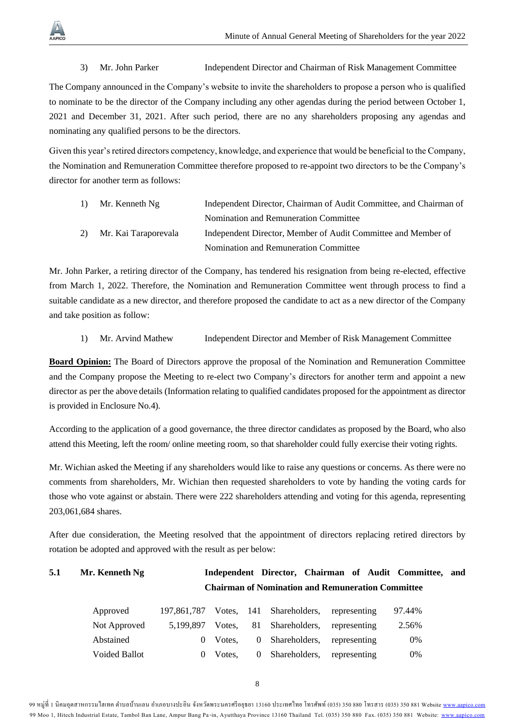## 3) Mr. John Parker Independent Director and Chairman of Risk Management Committee

The Company announced in the Company's website to invite the shareholders to propose a person who is qualified to nominate to be the director of the Company including any other agendas during the period between October 1, 2021 and December 31, 2021. After such period, there are no any shareholders proposing any agendas and nominating any qualified persons to be the directors.

Given this year's retired directors competency, knowledge, and experience that would be beneficial to the Company, the Nomination and Remuneration Committee therefore proposed to re-appoint two directors to be the Company's director for another term as follows:

| <sup>1</sup> | Mr. Kenneth Ng          | Independent Director, Chairman of Audit Committee, and Chairman of |
|--------------|-------------------------|--------------------------------------------------------------------|
|              |                         | Nomination and Remuneration Committee                              |
|              | 2) Mr. Kai Taraporevala | Independent Director, Member of Audit Committee and Member of      |
|              |                         | Nomination and Remuneration Committee                              |

Mr. John Parker, a retiring director of the Company, has tendered his resignation from being re-elected, effective from March 1, 2022. Therefore, the Nomination and Remuneration Committee went through process to find a suitable candidate as a new director, and therefore proposed the candidate to act as a new director of the Company and take position as follow:

1) Mr. Arvind Mathew Independent Director and Member of Risk Management Committee

**Board Opinion:** The Board of Directors approve the proposal of the Nomination and Remuneration Committee and the Company propose the Meeting to re-elect two Company's directors for another term and appoint a new director as per the above details (Information relating to qualified candidates proposed for the appointment as director is provided in Enclosure No.4).

According to the application of a good governance, the three director candidates as proposed by the Board, who also attend this Meeting, left the room/ online meeting room, so that shareholder could fully exercise their voting rights.

Mr. Wichian asked the Meeting if any shareholders would like to raise any questions or concerns. As there were no comments from shareholders, Mr. Wichian then requested shareholders to vote by handing the voting cards for those who vote against or abstain. There were 222 shareholders attending and voting for this agenda, representing 203,061,684 shares.

After due consideration, the Meeting resolved that the appointment of directors replacing retired directors by rotation be adopted and approved with the result as per below:

# **5.1 Mr. Kenneth Ng Independent Director, Chairman of Audit Committee, and Chairman of Nomination and Remuneration Committee**

| Approved             |          | 197,861,787 Votes, 141 Shareholders, representing | 97.44% |
|----------------------|----------|---------------------------------------------------|--------|
| Not Approved         |          | 5,199,897 Votes, 81 Shareholders, representing    | 2.56%  |
| Abstained            | 0 Votes. | 0 Shareholders, representing                      | 0%     |
| <b>Voided Ballot</b> | 0 Votes. | 0 Shareholders, representing                      | 0%     |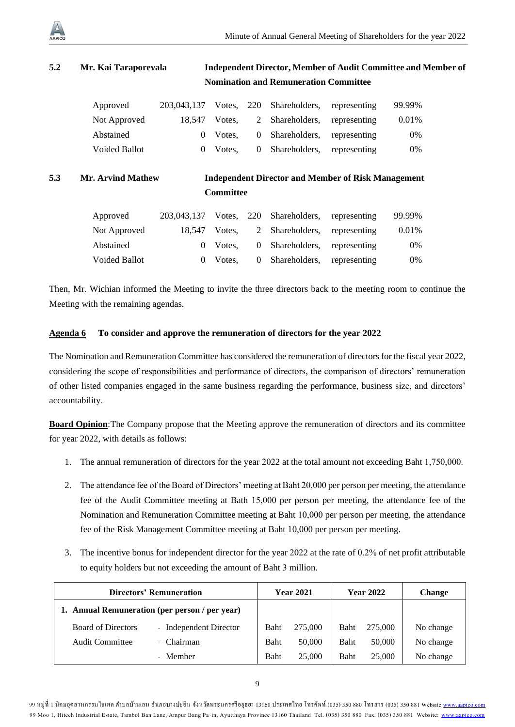

| 5.2 | Mr. Kai Taraporevala |             | <b>Independent Director, Member of Audit Committee and Member of</b> |          |                                              |              |        |  |  |  |
|-----|----------------------|-------------|----------------------------------------------------------------------|----------|----------------------------------------------|--------------|--------|--|--|--|
|     |                      |             |                                                                      |          | <b>Nomination and Remuneration Committee</b> |              |        |  |  |  |
|     | Approved             | 203,043,137 | Votes.                                                               | - 220    | Shareholders,                                | representing | 99.99% |  |  |  |
|     | Not Approved         | 18.547      | Votes.                                                               | 2        | Shareholders,                                | representing | 0.01%  |  |  |  |
|     | Abstained            | $\theta$    | Votes.                                                               | $\theta$ | Shareholders,                                | representing | 0%     |  |  |  |
|     | <b>Voided Ballot</b> | $\theta$    | Votes.                                                               | $\theta$ | Shareholders,                                | representing | 0%     |  |  |  |

# **5.3 Mr. Arvind Mathew Independent Director and Member of Risk Management Committee**

| Approved      |               | 203,043,137 Votes, 220 Shareholders, representing | 99.99% |
|---------------|---------------|---------------------------------------------------|--------|
| Not Approved  | 18.547 Votes. | 2 Shareholders, representing                      | 0.01%  |
| Abstained     | $0$ Votes.    | 0 Shareholders, representing                      | 0%     |
| Voided Ballot | 0 Votes.      | 0 Shareholders, representing                      | 0%     |

Then, Mr. Wichian informed the Meeting to invite the three directors back to the meeting room to continue the Meeting with the remaining agendas.

## **Agenda 6 To consider and approve the remuneration of directors for the year 2022**

The Nomination and Remuneration Committee has considered the remuneration of directors for the fiscal year 2022, considering the scope of responsibilities and performance of directors, the comparison of directors' remuneration of other listed companies engaged in the same business regarding the performance, business size, and directors' accountability.

**Board Opinion**:The Company propose that the Meeting approve the remuneration of directors and its committee for year 2022, with details as follows:

- 1. The annual remuneration of directors for the year 2022 at the total amount not exceeding Baht 1,750,000.
- 2. The attendance fee of the Board of Directors' meeting at Baht 20,000 per person per meeting, the attendance fee of the Audit Committee meeting at Bath 15,000 per person per meeting, the attendance fee of the Nomination and Remuneration Committee meeting at Baht 10,000 per person per meeting, the attendance fee of the Risk Management Committee meeting at Baht 10,000 per person per meeting.
- 3. The incentive bonus for independent director for the year 2022 at the rate of 0.2% of net profit attributable to equity holders but not exceeding the amount of Baht 3 million.

| <b>Directors' Remuneration</b>                 |                             |      | <b>Year 2021</b> |             | <b>Year 2022</b> | <b>Change</b> |
|------------------------------------------------|-----------------------------|------|------------------|-------------|------------------|---------------|
| 1. Annual Remuneration (per person / per year) |                             |      |                  |             |                  |               |
| <b>Board of Directors</b>                      | <b>Independent Director</b> | Baht | 275,000          | Baht        | 275,000          | No change     |
| Audit Committee                                | Chairman                    | Baht | 50,000           | <b>Baht</b> | 50,000           | No change     |
|                                                | Member                      | Baht | 25,000           | <b>Baht</b> | 25,000           | No change     |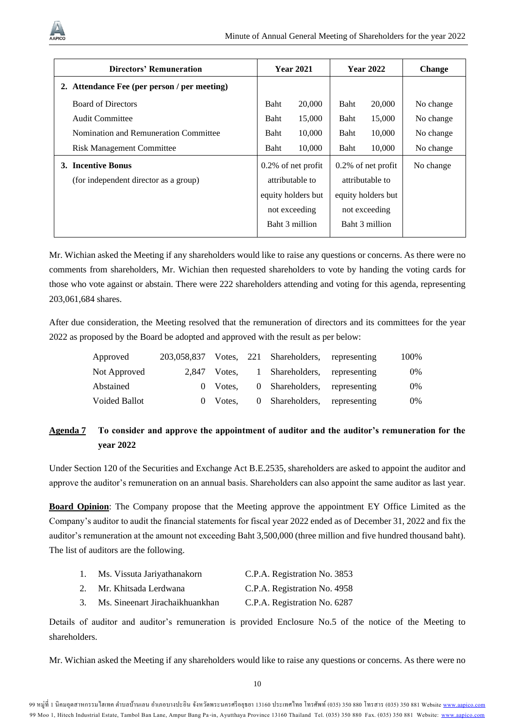

| Directors' Remuneration                      |                 | <b>Year 2021</b>      |                 | <b>Year 2022</b>      | <b>Change</b> |
|----------------------------------------------|-----------------|-----------------------|-----------------|-----------------------|---------------|
| 2. Attendance Fee (per person / per meeting) |                 |                       |                 |                       |               |
| <b>Board of Directors</b>                    | Baht            | 20,000                | Baht            | 20,000                | No change     |
| Audit Committee                              | Baht            | 15,000                | Baht            | 15,000                | No change     |
| Nomination and Remuneration Committee        | Baht            | 10,000                | Baht            | 10,000                | No change     |
| <b>Risk Management Committee</b>             | Baht            | 10,000                | Baht            | 10,000                | No change     |
| 3. Incentive Bonus                           |                 | $0.2\%$ of net profit |                 | $0.2\%$ of net profit | No change     |
| (for independent director as a group)        | attributable to |                       | attributable to |                       |               |
|                                              |                 | equity holders but    |                 | equity holders but    |               |
|                                              |                 | not exceeding         |                 | not exceeding         |               |
|                                              |                 | Baht 3 million        |                 | Baht 3 million        |               |
|                                              |                 |                       |                 |                       |               |

Mr. Wichian asked the Meeting if any shareholders would like to raise any questions or concerns. As there were no comments from shareholders, Mr. Wichian then requested shareholders to vote by handing the voting cards for those who vote against or abstain. There were 222 shareholders attending and voting for this agenda, representing 203,061,684 shares.

After due consideration, the Meeting resolved that the remuneration of directors and its committees for the year 2022 as proposed by the Board be adopted and approved with the result as per below:

| Approved      |              | 203,058,837 Votes, 221 Shareholders, representing | 100% |
|---------------|--------------|---------------------------------------------------|------|
| Not Approved  | 2.847 Votes. | 1 Shareholders, representing                      | 0%   |
| Abstained     | 0 Votes.     | 0 Shareholders, representing                      | 0%   |
| Voided Ballot | 0 Votes.     | 0 Shareholders, representing                      | 0%   |

## **Agenda 7 To consider and approve the appointment of auditor and the auditor's remuneration for the year 2022**

Under Section 120 of the Securities and Exchange Act B.E.2535, shareholders are asked to appoint the auditor and approve the auditor's remuneration on an annual basis. Shareholders can also appoint the same auditor as last year.

**Board Opinion**: The Company propose that the Meeting approve the appointment EY Office Limited as the Company's auditor to audit the financial statements for fiscal year 2022 ended as of December 31, 2022 and fix the auditor's remuneration at the amount not exceeding Baht 3,500,000 (three million and five hundred thousand baht). The list of auditors are the following.

|    | Ms. Vissuta Jariyathanakorn     | C.P.A. Registration No. 3853 |
|----|---------------------------------|------------------------------|
|    | Mr. Khitsada Lerdwana           | C.P.A. Registration No. 4958 |
| 3. | Ms. Sineenart Jirachaikhuankhan | C.P.A. Registration No. 6287 |

Details of auditor and auditor's remuneration is provided Enclosure No.5 of the notice of the Meeting to shareholders.

Mr. Wichian asked the Meeting if any shareholders would like to raise any questions or concerns. As there were no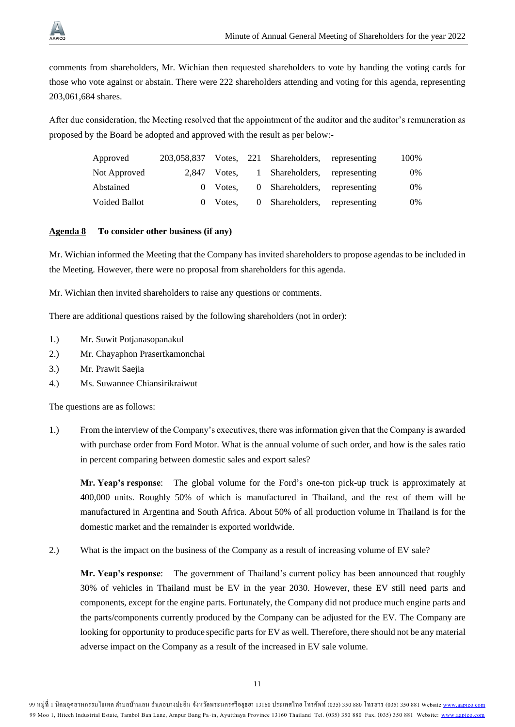

comments from shareholders, Mr. Wichian then requested shareholders to vote by handing the voting cards for those who vote against or abstain. There were 222 shareholders attending and voting for this agenda, representing 203,061,684 shares.

After due consideration, the Meeting resolved that the appointment of the auditor and the auditor's remuneration as proposed by the Board be adopted and approved with the result as per below:-

| Approved             |              | 203,058,837 Votes, 221 Shareholders, representing | 100% |
|----------------------|--------------|---------------------------------------------------|------|
| Not Approved         | 2.847 Votes. | 1 Shareholders, representing                      | 0%   |
| Abstained            | 0 Votes.     | 0 Shareholders, representing                      | 0%   |
| <b>Voided Ballot</b> | 0 Votes.     | 0 Shareholders, representing                      | 0%   |

#### **Agenda 8 To consider other business (if any)**

Mr. Wichian informed the Meeting that the Company has invited shareholders to propose agendas to be included in the Meeting. However, there were no proposal from shareholders for this agenda.

Mr. Wichian then invited shareholders to raise any questions or comments.

There are additional questions raised by the following shareholders (not in order):

- 1.) Mr. Suwit Potjanasopanakul
- 2.) Mr. Chayaphon Prasertkamonchai
- 3.) Mr. Prawit Saejia
- 4.) Ms. Suwannee Chiansirikraiwut

The questions are as follows:

1.) From the interview of the Company's executives, there was information given that the Company is awarded with purchase order from Ford Motor. What is the annual volume of such order, and how is the sales ratio in percent comparing between domestic sales and export sales?

**Mr. Yeap's response**: The global volume for the Ford's one-ton pick-up truck is approximately at 400,000 units. Roughly 50% of which is manufactured in Thailand, and the rest of them will be manufactured in Argentina and South Africa. About 50% of all production volume in Thailand is for the domestic market and the remainder is exported worldwide.

2.) What is the impact on the business of the Company as a result of increasing volume of EV sale?

**Mr. Yeap's response**: The government of Thailand's current policy has been announced that roughly 30% of vehicles in Thailand must be EV in the year 2030. However, these EV still need parts and components, except for the engine parts. Fortunately, the Company did not produce much engine parts and the parts/components currently produced by the Company can be adjusted for the EV. The Company are looking for opportunity to produce specific parts for EV as well. Therefore, there should not be any material adverse impact on the Company as a result of the increased in EV sale volume.

<sup>99</sup> หมู่ที่ 1 นิคมอุตสาหกรรมไฮเทค ตำบลบ้านเลน อำเภอบางปะอิน จังหวัดพระนครศรีอยุธยา 13160 ประเทศไทย โทรศัพท์ (035) 350 880 โทรสาร (035) 350 881 Website <u>www.aapico.com</u> 99 Moo 1, Hitech Industrial Estate, Tambol Ban Lane, Ampur Bang Pa-in, Ayutthaya Province 13160 Thailand Tel. (035) 350 880 Fax. (035) 350 881 Website: [www.aapico.com](http://www.aapico.com/)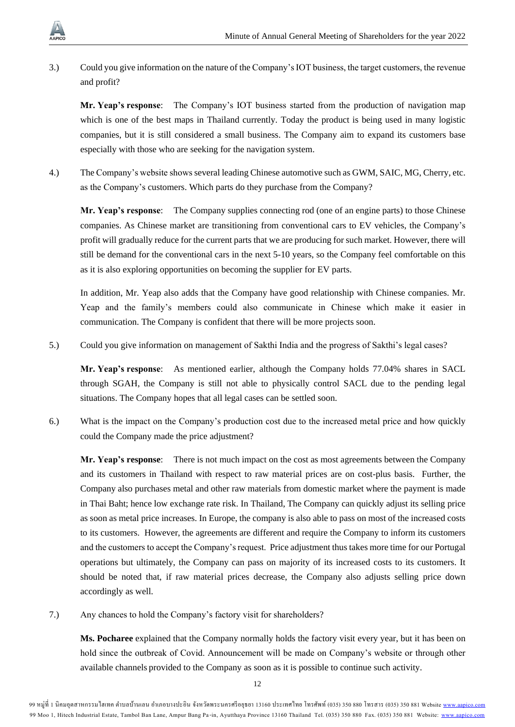3.) Could you give information on the nature of the Company's IOT business, the target customers, the revenue and profit?

**Mr. Yeap's response**: The Company's IOT business started from the production of navigation map which is one of the best maps in Thailand currently. Today the product is being used in many logistic companies, but it is still considered a small business. The Company aim to expand its customers base especially with those who are seeking for the navigation system.

4.) The Company's website shows several leading Chinese automotive such as GWM, SAIC, MG, Cherry, etc. as the Company's customers. Which parts do they purchase from the Company?

**Mr. Yeap's response**: The Company supplies connecting rod (one of an engine parts) to those Chinese companies. As Chinese market are transitioning from conventional cars to EV vehicles, the Company's profit will gradually reduce for the current parts that we are producing for such market. However, there will still be demand for the conventional cars in the next 5-10 years, so the Company feel comfortable on this as it is also exploring opportunities on becoming the supplier for EV parts.

In addition, Mr. Yeap also adds that the Company have good relationship with Chinese companies. Mr. Yeap and the family's members could also communicate in Chinese which make it easier in communication. The Company is confident that there will be more projects soon.

5.) Could you give information on management of Sakthi India and the progress of Sakthi's legal cases?

**Mr. Yeap's response**: As mentioned earlier, although the Company holds 77.04% shares in SACL through SGAH, the Company is still not able to physically control SACL due to the pending legal situations. The Company hopes that all legal cases can be settled soon.

6.) What is the impact on the Company's production cost due to the increased metal price and how quickly could the Company made the price adjustment?

**Mr. Yeap's response**: There is not much impact on the cost as most agreements between the Company and its customers in Thailand with respect to raw material prices are on cost-plus basis. Further, the Company also purchases metal and other raw materials from domestic market where the payment is made in Thai Baht; hence low exchange rate risk. In Thailand, The Company can quickly adjust its selling price as soon as metal price increases. In Europe, the company is also able to pass on most of the increased costs to its customers. However, the agreements are different and require the Company to inform its customers and the customers to accept the Company's request. Price adjustment thus takes more time for our Portugal operations but ultimately, the Company can pass on majority of its increased costs to its customers. It should be noted that, if raw material prices decrease, the Company also adjusts selling price down accordingly as well.

7.) Any chances to hold the Company's factory visit for shareholders?

**Ms. Pocharee** explained that the Company normally holds the factory visit every year, but it has been on hold since the outbreak of Covid. Announcement will be made on Company's website or through other available channels provided to the Company as soon as it is possible to continue such activity.

<sup>99</sup> หมู่ที่ 1 นิคมอุตสาหกรรมไฮเทค ตำบลบ้านเลน อำเภอบางปะอิน จังหวัดพระนครศรีอยุธยา 13160 ประเทศไทย โทรศัพท์ (035) 350 880 โทรสาร (035) 350 881 Website <u>www.aapico.com</u> 99 Moo 1, Hitech Industrial Estate, Tambol Ban Lane, Ampur Bang Pa-in, Ayutthaya Province 13160 Thailand Tel. (035) 350 880 Fax. (035) 350 881 Website: [www.aapico.com](http://www.aapico.com/)